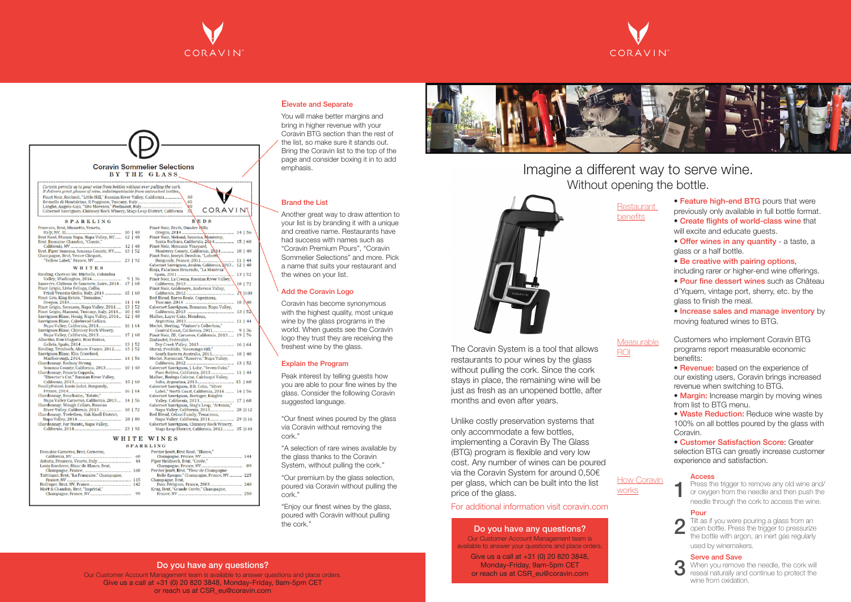





160

 $\frac{11}{142}$ 

 $0<sup>o</sup>$ 

Louis Roederer, Blanc de Blancs, Brut

Taittinger, Brut, "La Française," Champagne. 

Champagne, France, .

Moët & Chandon, Brut, "Impérial Champagne, France, NV

| Perrier Jouët, Brut Rosé, "Blason,"      |    |
|------------------------------------------|----|
|                                          |    |
| Piper Heidsieck, Brut, "Cuvée,"          |    |
|                                          | 89 |
| Perrier Jouët, Brut, "Fleur de Champagne |    |
| Belle Epoque," Champagne, France, NV 225 |    |
| Champagne, Brut,                         |    |
|                                          |    |
| Krug, Brut, "Grande Cuvée," Champagne,   |    |
| France, NV<br>$-250$                     |    |

### Elevate and Separate

You will make better margins and bring in higher revenue with your Coravin BTG section than the rest of the list, so make sure it stands out. Bring the Coravin list to the top of the page and consider boxing it in to add emphasis.

### Brand the List

Another great way to draw attention to your list is by branding it with a unique and creative name. Restaurants have had success with names such as "Coravin Premium Pours", "Coravin Sommelier Selections" and more. Pick a name that suits your restaurant and the wines on your list.

#### Add the Coravin Logo

Coravin has become synonymous with the highest quality, most unique wine by the glass programs in the world. When guests see the Coravin logo they trust they are receiving the freshest wine by the glass.

#### Explain the Program

Peak interest by telling guests how you are able to pour fine wines by the glass. Consider the following Coravin suggested language.

"Our finest wines poured by the glass via Coravin without removing the cork."

"A selection of rare wines available by the glass thanks to the Coravin System, without pulling the cork."

"Our premium by the glass selection, poured via Coravin without pulling the cork."

"Enjoy our finest wines by the glass, poured with Coravin without pulling the cork."



### Do you have any questions?

Our Customer Account Management team is available to answer questions and place orders. Give us a call at +31 (0) 20 820 3848, Monday-Friday, 9am-5pm CET or reach us at CSR\_eu@coravin.com

# Imagine a different way to serve wine. Without opening the bottle.

• Feature high-end BTG pours that were previously only available in full bottle format. • Create flights of world-class wine that will excite and educate guests. • Offer wines in any quantity - a taste, a glass or a half bottle. • Be creative with pairing options, including rarer or higher-end wine offerings. • Pour fine dessert wines such as Château d'Yquem, vintage port, sherry, etc. by the glass to finish the meal. • Increase sales and manage inventory by moving featured wines to BTG. Customers who implement Coravin BTG programs report measurable economic benefits: • Revenue: based on the experience of our existing users, Coravin brings increased revenue when switching to BTG. • Margin: Increase margin by moving wines from list to BTG menu. • Waste Reduction: Reduce wine waste by 100% on all bottles poured by the glass with Coravin.

The Coravin System is a tool that allows restaurants to pour wines by the glass without pulling the cork. Since the cork stays in place, the remaining wine will be just as fresh as an unopened bottle, after months and even after years.

> Tilt as if you were pouring a glass from an open bottle. Press the trigger to pressurize the bottle with argon, an inert gas regularly used by winemakers.

When you remove the needle, the cork will reseal naturally and continue to protect the wine from oxidation.

Restaura benefits



**Measurable** ROI

Unlike costly preservation systems that only accommodate a few bottles, implementing a Coravin By The Glass (BTG) program is flexible and very low cost. Any number of wines can be poured via the Coravin System for around 0,50€ per glass, which can be built into the list price of the glass.

### For additional information visit coravin.com

### Do you have any questions?

Our Customer Account Management team is available to answer your questions and place orders. Give us a call at +31 (0) 20 820 3848, Monday-Friday, 9am-5pm CET or reach us at CSR\_eu@coravin.com

• Customer Satisfaction Score: Greater selection BTG can greatly increase customer experience and satisfaction.

### Access

### Pour

 $\Box$ 

Press the trigger to remove any old wine and/ or oxygen from the needle and then push the needle through the cork to access the wine. 1

### Serve and Save

3

### How Coravin

works